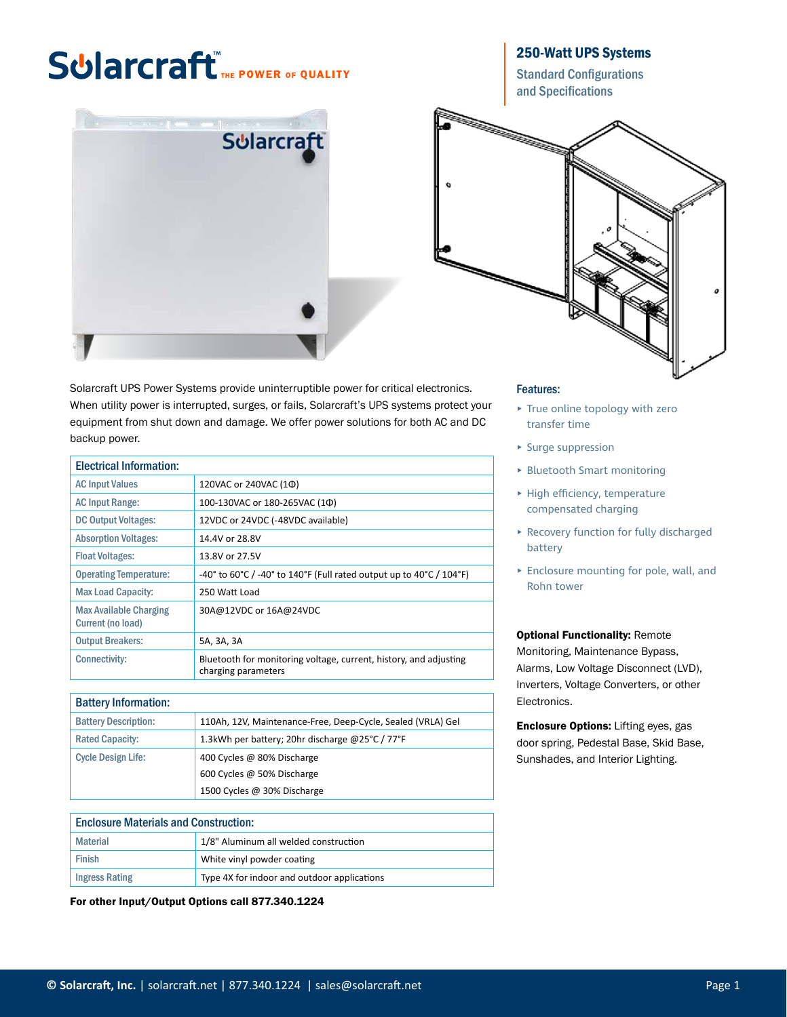# **Sularcraft** THE POWER OF QUALITY



250-Watt UPS Systems

Standard Configurations and Specifications



Solarcraft UPS Power Systems provide uninterruptible power for critical electronics. When utility power is interrupted, surges, or fails, Solarcraft's UPS systems protect your equipment from shut down and damage. We offer power solutions for both AC and DC backup power.

| <b>Electrical Information:</b>                     |                                                                                          |
|----------------------------------------------------|------------------------------------------------------------------------------------------|
| <b>AC Input Values</b>                             | 120VAC or 240VAC (1Ф)                                                                    |
| <b>AC Input Range:</b>                             | 100-130VAC or 180-265VAC (10)                                                            |
| <b>DC Output Voltages:</b>                         | 12VDC or 24VDC (-48VDC available)                                                        |
| <b>Absorption Voltages:</b>                        | 14.4V or 28.8V                                                                           |
| <b>Float Voltages:</b>                             | 13.8V or 27.5V                                                                           |
| <b>Operating Temperature:</b>                      | -40° to 60°C / -40° to 140°F (Full rated output up to 40°C / 104°F)                      |
| <b>Max Load Capacity:</b>                          | 250 Watt Load                                                                            |
| <b>Max Available Charging</b><br>Current (no load) | 30A@12VDC or 16A@24VDC                                                                   |
| <b>Output Breakers:</b>                            | 5A, 3A, 3A                                                                               |
| <b>Connectivity:</b>                               | Bluetooth for monitoring voltage, current, history, and adjusting<br>charging parameters |

## Battery Information:

| <b>Battery Description:</b> | 110Ah, 12V, Maintenance-Free, Deep-Cycle, Sealed (VRLA) Gel |
|-----------------------------|-------------------------------------------------------------|
| <b>Rated Capacity:</b>      | 1.3kWh per battery; 20hr discharge @25°C / 77°F             |
| <b>Cycle Design Life:</b>   | 400 Cycles @ 80% Discharge                                  |
|                             | 600 Cycles @ 50% Discharge                                  |
|                             | 1500 Cycles @ 30% Discharge                                 |

| <b>Enclosure Materials and Construction:</b> |                                             |  |  |
|----------------------------------------------|---------------------------------------------|--|--|
| Material                                     | 1/8" Aluminum all welded construction       |  |  |
| Finish                                       | White vinyl powder coating                  |  |  |
| <b>Ingress Rating</b>                        | Type 4X for indoor and outdoor applications |  |  |

For other Input/Output Options call 877.340.1224

#### Features:

- ▸ True online topology with zero transfer time
- ▸ Surge suppression
- ▸ Bluetooth Smart monitoring
- ▸ High efficiency, temperature compensated charging
- ▸ Recovery function for fully discharged battery
- ▸ Enclosure mounting for pole, wall, and Rohn tower

### **Optional Functionality: Remote**

Monitoring, Maintenance Bypass, Alarms, Low Voltage Disconnect (LVD), Inverters, Voltage Converters, or other Electronics.

Enclosure Options: Lifting eyes, gas door spring, Pedestal Base, Skid Base, Sunshades, and Interior Lighting.